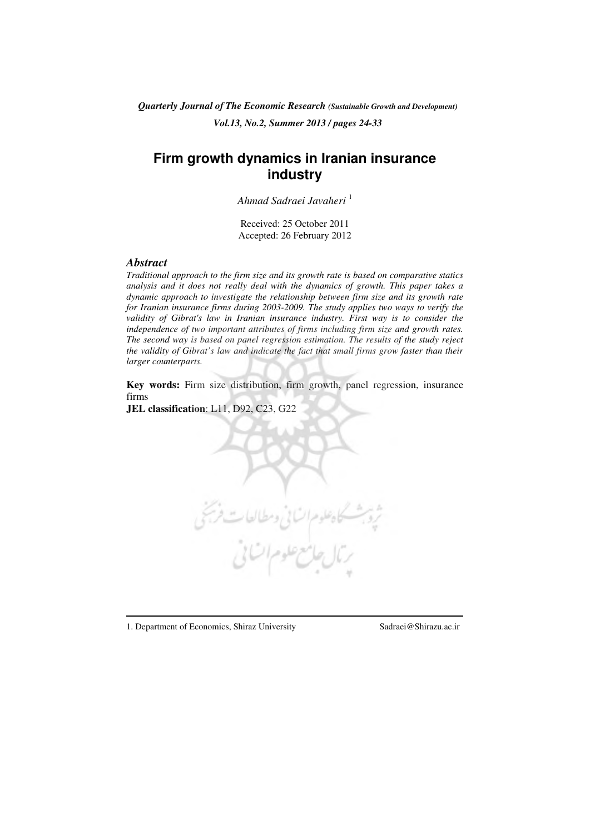*Quarterly Journal of The Economic Research (Sustainable Growth and Development) Vol.13, No.2, Summer 2013 / pages 24-33* 

# **Firm growth dynamics in Iranian insurance industry**

*Ahmad Sadraei Javaheri* <sup>1</sup>

Received: 25 October 2011 Accepted: 26 February 2012

## *Abstract*

*Traditional approach to the firm size and its growth rate is based on comparative statics analysis and it does not really deal with the dynamics of growth. This paper takes a dynamic approach to investigate the relationship between firm size and its growth rate for Iranian insurance firms during 2003-2009. The study applies two ways to verify the validity of Gibrat's law in Iranian insurance industry. First way is to consider the independence of two important attributes of firms including firm size and growth rates. The second way is based on panel regression estimation. The results of the study reject the validity of Gibrat's law and indicate the fact that small firms grow faster than their larger counterparts.* 

**Key words:** Firm size distribution, firm growth, panel regression, insurance firms

**JEL classification**: L11, D92, C23, G22

1. Department of Economics, Shiraz University Sadraei@Shirazu.ac.ir

 $\overline{a}$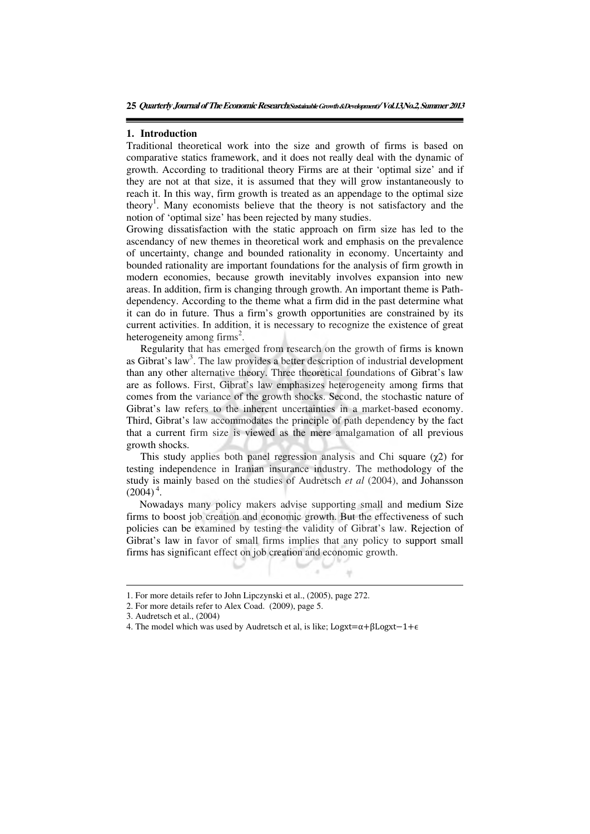### **1. Introduction**

Traditional theoretical work into the size and growth of firms is based on comparative statics framework, and it does not really deal with the dynamic of growth. According to traditional theory Firms are at their 'optimal size' and if they are not at that size, it is assumed that they will grow instantaneously to reach it. In this way, firm growth is treated as an appendage to the optimal size theory<sup>1</sup>. Many economists believe that the theory is not satisfactory and the notion of 'optimal size' has been rejected by many studies.

Growing dissatisfaction with the static approach on firm size has led to the ascendancy of new themes in theoretical work and emphasis on the prevalence of uncertainty, change and bounded rationality in economy. Uncertainty and bounded rationality are important foundations for the analysis of firm growth in modern economies, because growth inevitably involves expansion into new areas. In addition, firm is changing through growth. An important theme is Pathdependency. According to the theme what a firm did in the past determine what it can do in future. Thus a firm's growth opportunities are constrained by its current activities. In addition, it is necessary to recognize the existence of great heterogeneity among firms<sup>2</sup>.

Regularity that has emerged from research on the growth of firms is known as Gibrat's law<sup>3</sup>. The law provides a better description of industrial development than any other alternative theory. Three theoretical foundations of Gibrat's law are as follows. First, Gibrat's law emphasizes heterogeneity among firms that comes from the variance of the growth shocks. Second, the stochastic nature of Gibrat's law refers to the inherent uncertainties in a market-based economy. Third, Gibrat's law accommodates the principle of path dependency by the fact that a current firm size is viewed as the mere amalgamation of all previous growth shocks.

This study applies both panel regression analysis and Chi square  $(\chi^2)$  for testing independence in Iranian insurance industry. The methodology of the study is mainly based on the studies of Audretsch *et al* (2004), and Johansson  $(2004)^4$ .

Nowadays many policy makers advise supporting small and medium Size firms to boost job creation and economic growth. But the effectiveness of such policies can be examined by testing the validity of Gibrat's law. Rejection of Gibrat's law in favor of small firms implies that any policy to support small firms has significant effect on job creation and economic growth.

 $\overline{a}$ 

<sup>1.</sup> For more details refer to John Lipczynski et al., (2005), page 272.

<sup>2.</sup> For more details refer to Alex Coad. (2009), page 5.

<sup>3.</sup> Audretsch et al., (2004)

<sup>4.</sup> The model which was used by Audretsch et al, is like; Logxt=α+βLogxt 1+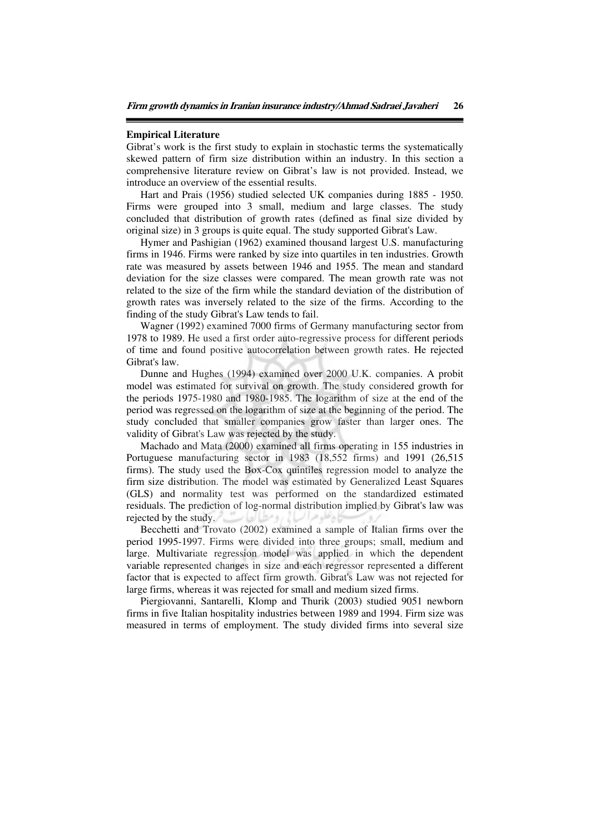### **Empirical Literature**

Gibrat's work is the first study to explain in stochastic terms the systematically skewed pattern of firm size distribution within an industry. In this section a comprehensive literature review on Gibrat's law is not provided. Instead, we introduce an overview of the essential results.

Hart and Prais (1956) studied selected UK companies during 1885 - 1950. Firms were grouped into 3 small, medium and large classes. The study concluded that distribution of growth rates (defined as final size divided by original size) in 3 groups is quite equal. The study supported Gibrat's Law.

Hymer and Pashigian (1962) examined thousand largest U.S. manufacturing firms in 1946. Firms were ranked by size into quartiles in ten industries. Growth rate was measured by assets between 1946 and 1955. The mean and standard deviation for the size classes were compared. The mean growth rate was not related to the size of the firm while the standard deviation of the distribution of growth rates was inversely related to the size of the firms. According to the finding of the study Gibrat's Law tends to fail.

Wagner (1992) examined 7000 firms of Germany manufacturing sector from 1978 to 1989. He used a first order auto-regressive process for different periods of time and found positive autocorrelation between growth rates. He rejected Gibrat's law.

Dunne and Hughes (1994) examined over 2000 U.K. companies. A probit model was estimated for survival on growth. The study considered growth for the periods 1975-1980 and 1980-1985. The logarithm of size at the end of the period was regressed on the logarithm of size at the beginning of the period. The study concluded that smaller companies grow faster than larger ones. The validity of Gibrat's Law was rejected by the study.

Machado and Mata (2000) examined all firms operating in 155 industries in Portuguese manufacturing sector in 1983 (18,552 firms) and 1991 (26,515 firms). The study used the Box-Cox quintiles regression model to analyze the firm size distribution. The model was estimated by Generalized Least Squares (GLS) and normality test was performed on the standardized estimated residuals. The prediction of log-normal distribution implied by Gibrat's law was rejected by the study.

Becchetti and Trovato (2002) examined a sample of Italian firms over the period 1995-1997. Firms were divided into three groups; small, medium and large. Multivariate regression model was applied in which the dependent variable represented changes in size and each regressor represented a different factor that is expected to affect firm growth. Gibrat's Law was not rejected for large firms, whereas it was rejected for small and medium sized firms.

Piergiovanni, Santarelli, Klomp and Thurik (2003) studied 9051 newborn firms in five Italian hospitality industries between 1989 and 1994. Firm size was measured in terms of employment. The study divided firms into several size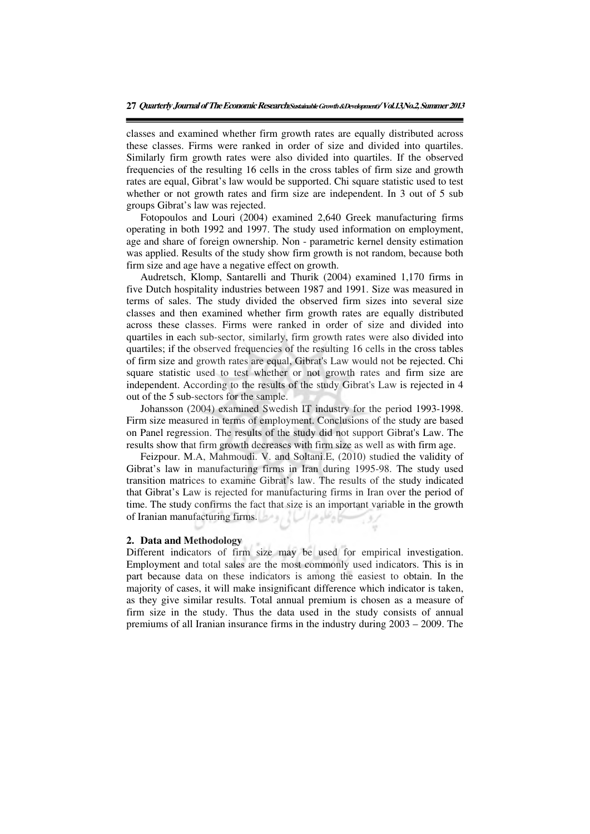classes and examined whether firm growth rates are equally distributed across these classes. Firms were ranked in order of size and divided into quartiles. Similarly firm growth rates were also divided into quartiles. If the observed frequencies of the resulting 16 cells in the cross tables of firm size and growth rates are equal, Gibrat's law would be supported. Chi square statistic used to test whether or not growth rates and firm size are independent. In 3 out of 5 sub groups Gibrat's law was rejected.

Fotopoulos and Louri (2004) examined 2,640 Greek manufacturing firms operating in both 1992 and 1997. The study used information on employment, age and share of foreign ownership. Non - parametric kernel density estimation was applied. Results of the study show firm growth is not random, because both firm size and age have a negative effect on growth.

Audretsch, Klomp, Santarelli and Thurik (2004) examined 1,170 firms in five Dutch hospitality industries between 1987 and 1991. Size was measured in terms of sales. The study divided the observed firm sizes into several size classes and then examined whether firm growth rates are equally distributed across these classes. Firms were ranked in order of size and divided into quartiles in each sub-sector, similarly, firm growth rates were also divided into quartiles; if the observed frequencies of the resulting 16 cells in the cross tables of firm size and growth rates are equal, Gibrat's Law would not be rejected. Chi square statistic used to test whether or not growth rates and firm size are independent. According to the results of the study Gibrat's Law is rejected in 4 out of the 5 sub-sectors for the sample.

Johansson (2004) examined Swedish IT industry for the period 1993-1998. Firm size measured in terms of employment. Conclusions of the study are based on Panel regression. The results of the study did not support Gibrat's Law. The results show that firm growth decreases with firm size as well as with firm age.

Feizpour. M.A, Mahmoudi. V. and Soltani.E, (2010) studied the validity of Gibrat's law in manufacturing firms in Iran during 1995-98. The study used transition matrices to examine Gibrat's law. The results of the study indicated that Gibrat's Law is rejected for manufacturing firms in Iran over the period of time. The study confirms the fact that size is an important variable in the growth of Iranian manufacturing firms.

### **2. Data and Methodology**

Different indicators of firm size may be used for empirical investigation. Employment and total sales are the most commonly used indicators. This is in part because data on these indicators is among the easiest to obtain. In the majority of cases, it will make insignificant difference which indicator is taken, as they give similar results. Total annual premium is chosen as a measure of firm size in the study. Thus the data used in the study consists of annual premiums of all Iranian insurance firms in the industry during 2003 – 2009. The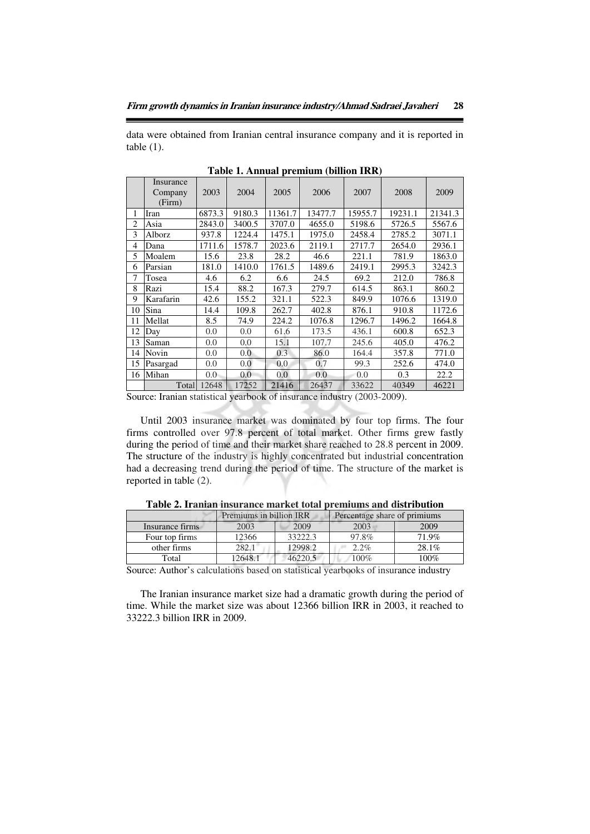data were obtained from Iranian central insurance company and it is reported in table  $(1)$ .

|                | Insurance<br>Company<br>(Firm) | 2003   | 2004   | 2005    | 2006    | 2007    | 2008    | 2009    |
|----------------|--------------------------------|--------|--------|---------|---------|---------|---------|---------|
| 1              | Iran                           | 6873.3 | 9180.3 | 11361.7 | 13477.7 | 15955.7 | 19231.1 | 21341.3 |
| $\overline{c}$ | Asia                           | 2843.0 | 3400.5 | 3707.0  | 4655.0  | 5198.6  | 5726.5  | 5567.6  |
| 3              | Alborz                         | 937.8  | 1224.4 | 1475.1  | 1975.0  | 2458.4  | 2785.2  | 3071.1  |
| 4              | Dana                           | 1711.6 | 1578.7 | 2023.6  | 2119.1  | 2717.7  | 2654.0  | 2936.1  |
| 5              | Moalem                         | 15.6   | 23.8   | 28.2    | 46.6    | 221.1   | 781.9   | 1863.0  |
| 6              | Parsian                        | 181.0  | 1410.0 | 1761.5  | 1489.6  | 2419.1  | 2995.3  | 3242.3  |
| 7              | Tosea                          | 4.6    | 6.2    | 6.6     | 24.5    | 69.2    | 212.0   | 786.8   |
| 8              | Razi                           | 15.4   | 88.2   | 167.3   | 279.7   | 614.5   | 863.1   | 860.2   |
| 9              | Karafarin                      | 42.6   | 155.2  | 321.1   | 522.3   | 849.9   | 1076.6  | 1319.0  |
| 10             | Sina                           | 14.4   | 109.8  | 262.7   | 402.8   | 876.1   | 910.8   | 1172.6  |
| 11             | Mellat                         | 8.5    | 74.9   | 224.2   | 1076.8  | 1296.7  | 1496.2  | 1664.8  |
| 12             | Day                            | 0.0    | 0.0    | 61.6    | 173.5   | 436.1   | 600.8   | 652.3   |
| 13             | Saman                          | 0.0    | 0.0    | 15.1    | 107.7   | 245.6   | 405.0   | 476.2   |
| 14             | Novin                          | 0.0    | 0.0    | 0.3     | 86.0    | 164.4   | 357.8   | 771.0   |
| 15             | Pasargad                       | 0.0    | 0.0    | 0.0     | 0.7     | 99.3    | 252.6   | 474.0   |
| 16             | Mihan                          | 0.0    | 0.0    | 0.0     | 0.0     | 0.0     | 0.3     | 22.2    |
|                | Total                          | 12648  | 17252  | 21416   | 26437   | 33622   | 40349   | 46221   |

**Table 1. Annual premium (billion IRR)** 

Source: Iranian statistical yearbook of insurance industry (2003-2009).

Until 2003 insurance market was dominated by four top firms. The four firms controlled over 97.8 percent of total market. Other firms grew fastly during the period of time and their market share reached to 28.8 percent in 2009. The structure of the industry is highly concentrated but industrial concentration had a decreasing trend during the period of time. The structure of the market is reported in table (2).

|                 | Premiums in billion IRR |         | Percentage share of primiums |       |  |
|-----------------|-------------------------|---------|------------------------------|-------|--|
| Insurance firms | 2003                    | 2009    | 2003                         | 2009  |  |
| Four top firms  | 12366                   | 33222.3 | 97.8%                        | 71.9% |  |
| other firms     | 282.1                   | 12998.2 | $2.2\%$                      | 28.1% |  |
| Total           | 2648.                   | 46220.5 | 100%                         | 100%  |  |

**Table 2. Iranian insurance market total premiums and distribution** 

Source: Author's calculations based on statistical yearbooks of insurance industry

The Iranian insurance market size had a dramatic growth during the period of time. While the market size was about 12366 billion IRR in 2003, it reached to 33222.3 billion IRR in 2009.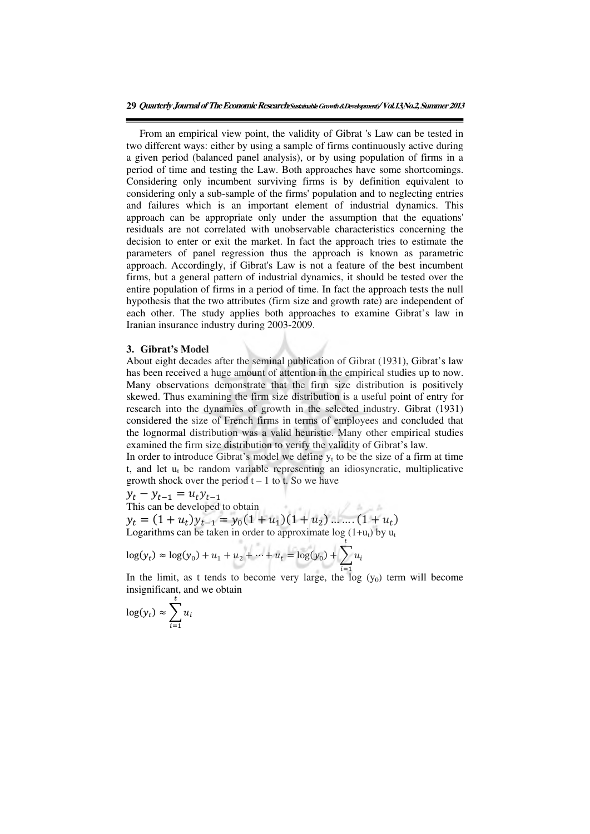**29 Quarterly Journal of The Economic Research(Sustainable Growth** &**Development)/ Vol.13,No.2, Summer 2013**

From an empirical view point, the validity of Gibrat 's Law can be tested in two different ways: either by using a sample of firms continuously active during a given period (balanced panel analysis), or by using population of firms in a period of time and testing the Law. Both approaches have some shortcomings. Considering only incumbent surviving firms is by definition equivalent to considering only a sub-sample of the firms' population and to neglecting entries and failures which is an important element of industrial dynamics. This approach can be appropriate only under the assumption that the equations' residuals are not correlated with unobservable characteristics concerning the decision to enter or exit the market. In fact the approach tries to estimate the parameters of panel regression thus the approach is known as parametric approach. Accordingly, if Gibrat's Law is not a feature of the best incumbent firms, but a general pattern of industrial dynamics, it should be tested over the entire population of firms in a period of time. In fact the approach tests the null hypothesis that the two attributes (firm size and growth rate) are independent of each other. The study applies both approaches to examine Gibrat's law in Iranian insurance industry during 2003-2009.

# **3. Gibrat's Model**

About eight decades after the seminal publication of Gibrat (1931), Gibrat's law has been received a huge amount of attention in the empirical studies up to now. Many observations demonstrate that the firm size distribution is positively skewed. Thus examining the firm size distribution is a useful point of entry for research into the dynamics of growth in the selected industry. Gibrat (1931) considered the size of French firms in terms of employees and concluded that the lognormal distribution was a valid heuristic. Many other empirical studies examined the firm size distribution to verify the validity of Gibrat's law.

In order to introduce Gibrat's model we define  $y_t$  to be the size of a firm at time  $t$ , and let  $u_t$  be random variable representing an idiosyncratic, multiplicative growth shock over the period  $t - 1$  to t. So we have

 $y_t - y_{t-1} = u_t y_{t-1}$ 

This can be developed to obtain  $y_t = (1 + u_t)y_{t-1} = y_0(1 + u_1)(1 + u_2) \dots (1 + u_t)$ Logarithms can be taken in order to approximate  $\log (1+u_t)$  by  $u_t$ 

$$
\log(y_t) \approx \log(y_0) + u_1 + u_2 + \dots + u_t = \log(y_0) + \sum_{i=1}^t u_i
$$

In the limit, as t tends to become very large, the log  $(y_0)$  term will become insignificant, and we obtain

$$
\log(y_t) \approx \sum_{i=1}^t u_i
$$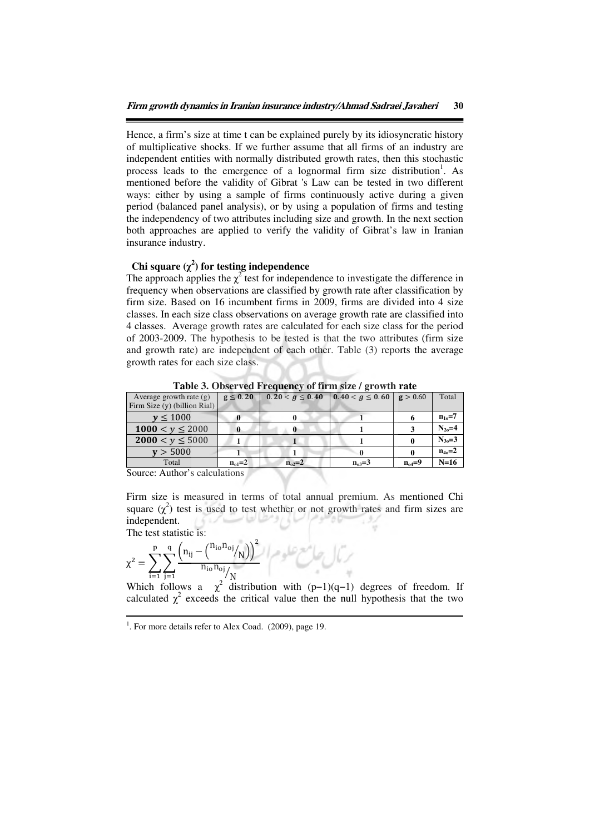Hence, a firm's size at time t can be explained purely by its idiosyncratic history of multiplicative shocks. If we further assume that all firms of an industry are independent entities with normally distributed growth rates, then this stochastic process leads to the emergence of a lognormal firm size distribution<sup>1</sup>. As mentioned before the validity of Gibrat 's Law can be tested in two different ways: either by using a sample of firms continuously active during a given period (balanced panel analysis), or by using a population of firms and testing the independency of two attributes including size and growth. In the next section both approaches are applied to verify the validity of Gibrat's law in Iranian insurance industry.

# Chi square  $(\chi^2)$  for testing independence

The approach applies the  $\chi^2$  test for independence to investigate the difference in frequency when observations are classified by growth rate after classification by firm size. Based on 16 incumbent firms in 2009, firms are divided into 4 size classes. In each size class observations on average growth rate are classified into 4 classes. Average growth rates are calculated for each size class for the period of 2003-2009. The hypothesis to be tested is that the two attributes (firm size and growth rate) are independent of each other. Table (3) reports the average growth rates for each size class.

| Average growth rate $(g)$           | $g \leq 0.20$ | $0.20 < q \leq 0.40$ | $0.40 < g \le 0.60$ $g > 0.60$ |              | Total        |  |  |
|-------------------------------------|---------------|----------------------|--------------------------------|--------------|--------------|--|--|
| Firm Size (y) (billion Rial)        |               |                      |                                |              |              |  |  |
| v < 1000                            |               |                      |                                |              | $n_{10} = 7$ |  |  |
| 1000 $\lt v \le 2000$               |               |                      |                                |              | $N_{20} = 4$ |  |  |
| $2000 < y \le 5000$                 |               |                      |                                |              | $N_{30} = 3$ |  |  |
| v > 5000                            |               |                      |                                |              | $n_{40} = 2$ |  |  |
| Total                               | $n_{01} = 2$  | $n_{02}=2$           | $n_{03} = 3$                   | $n_{04} = 9$ | $N=16$       |  |  |
| $\sim$<br>$\sim$ $\sim$<br>$\cdots$ |               |                      |                                |              |              |  |  |

**Table 3. Observed Frequency of firm size / growth rate** 

Source: Author's calculations

Firm size is measured in terms of total annual premium. As mentioned Chi square  $(\chi^2)$  test is used to test whether or not growth rates and firm sizes are independent.

The test statistic is:

 $\overline{a}$ 

$$
\chi^2 = \sum_{i=1}^{p} \sum_{j=1}^{q} \frac{\left(n_{ij} - {n_{io}n_{oj}}_{N}\right)^2}{n_{io}n_{oj}} / N
$$

 $\begin{array}{ccccc} \n & & \text{if } 1 & =1 \text{ } & \text{if } 1 & = 1 \text{ } & \text{if } 1 & = 1 \text{ } & \text{if } 1 & = 1 \text{ } & \text{if } 1 & = 1 \text{ } & \text{if } 1 & = 1 \text{ } & \text{if } 1 & = 1 \text{ } & \text{if } 1 & = 1 \text{ } & \text{if } 1 & = 1 \text{ } & \text{if } 1 & = 1 \text{ } & \text{if } 1 & = 1 \text{ } & \text{if } 1 & = 1 \text{ } & \text{if } 1 & = 1 \text{ }$ calculated  $\chi^2$  exceeds the critical value then the null hypothesis that the two

<sup>&</sup>lt;sup>1</sup>. For more details refer to Alex Coad. (2009), page 19.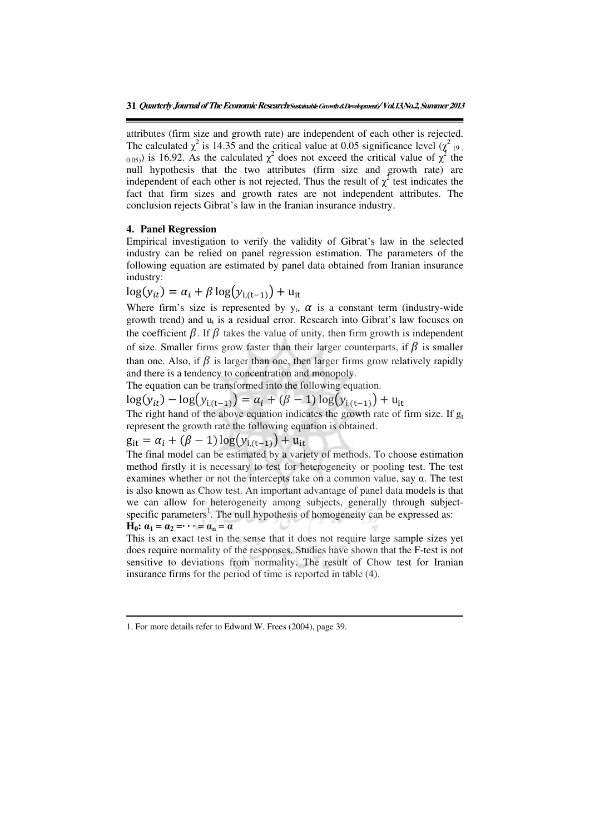attributes (firm size and growth rate) are independent of each other is rejected. The calculated  $\chi^2$  is 14.35 and the critical value at 0.05 significance level  $(\chi^2)_{(9)}$ ,  $_{0.05)}$ ) is 16.92. As the calculated  $\chi^2$  does not exceed the critical value of  $\chi^2$  the null hypothesis that the two attributes (firm size and growth rate) are independent of each other is not rejected. Thus the result of  $\chi^2$  test indicates the fact that firm sizes and growth rates are not independent attributes. The conclusion rejects Gibrat's law in the Iranian insurance industry.

## **4. Panel Regression**

Empirical investigation to verify the validity of Gibrat's law in the selected industry can be relied on panel regression estimation. The parameters of the following equation are estimated by panel data obtained from Iranian insurance industry:

 $\log(y_{it}) = \alpha_i + \beta \log(y_{i,(t-1)}) + u_{it}$ 

Where firm's size is represented by  $y_t$ ,  $\alpha$  is a constant term (industry-wide growth trend) and  $u_t$  is a residual error. Research into Gibrat's law focuses on the coefficient  $\beta$ . If  $\beta$  takes the value of unity, then firm growth is independent of size. Smaller firms grow faster than their larger counterparts, if  $\beta$  is smaller than one. Also, if  $\beta$  is larger than one, then larger firms grow relatively rapidly and there is a tendency to concentration and monopoly.

The equation can be transformed into the following equation.

 $log(y_{it}) - log(y_{i,(t-1)}) = \alpha_i + (\beta - 1)log(y_{i,(t-1)}) + u_{it}$ 

The right hand of the above equation indicates the growth rate of firm size. If  $g_t$ represent the growth rate the following equation is obtained.

 $g_{it} = \alpha_i + (\beta - 1) \log(y_{i,(t-1)}) + u_{it}$ 

The final model can be estimated by a variety of methods. To choose estimation method firstly it is necessary to test for heterogeneity or pooling test. The test examines whether or not the intercepts take on a common value, say α. The test is also known as Chow test. An important advantage of panel data models is that we can allow for heterogeneity among subjects, generally through subjectspecific parameters<sup>1</sup>. The null hypothesis of homogeneity can be expressed as:  $\mathbf{H}_0$ :  $\alpha_1 = \alpha_2 = \cdots = \alpha_n = \alpha$ 

This is an exact test in the sense that it does not require large sample sizes yet does require normality of the responses. Studies have shown that the F-test is not sensitive to deviations from normality. The result of Chow test for Iranian insurance firms for the period of time is reported in table (4).

 $\overline{a}$ 

<sup>1.</sup> For more details refer to Edward W. Frees (2004), page 39.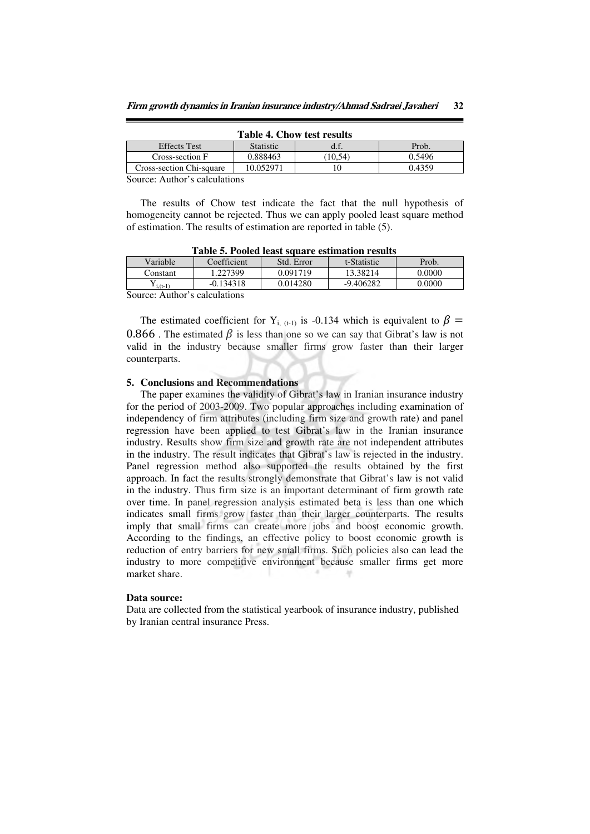| <b>Table 4. Chow test results</b> |           |       |        |  |  |
|-----------------------------------|-----------|-------|--------|--|--|
| <b>Effects</b> Test               | Statistic | d.f.  | Prob.  |  |  |
| Cross-section F                   | 0.888463  | 10.54 | 0.5496 |  |  |
| Cross-section Chi-square          | 10.052971 |       | 0.4359 |  |  |

Source: Author's calculations

The results of Chow test indicate the fact that the null hypothesis of homogeneity cannot be rejected. Thus we can apply pooled least square method of estimation. The results of estimation are reported in table (5).

| Table 5: I colcu Icast square estimation results |             |            |             |        |  |  |
|--------------------------------------------------|-------------|------------|-------------|--------|--|--|
| Variable                                         | Coefficient | Std. Error | t-Statistic | Prob.  |  |  |
| Constant                                         | .227399     | 0.091719   | 13.38214    | 0.0000 |  |  |
| $\mathbf{Y}_{i,(t-1)}$                           | $-0.134318$ | 0.014280   | $-9.406282$ | 0.0000 |  |  |
| $\sim$                                           |             |            |             |        |  |  |

**Table 5. Pooled least square estimation results** 

Source: Author's calculations

The estimated coefficient for Y<sub>i, (t-1)</sub> is -0.134 which is equivalent to  $\beta$  = 0.866. The estimated  $\beta$  is less than one so we can say that Gibrat's law is not valid in the industry because smaller firms grow faster than their larger counterparts.

### **5. Conclusions and Recommendations**

The paper examines the validity of Gibrat's law in Iranian insurance industry for the period of 2003-2009. Two popular approaches including examination of independency of firm attributes (including firm size and growth rate) and panel regression have been applied to test Gibrat's law in the Iranian insurance industry. Results show firm size and growth rate are not independent attributes in the industry. The result indicates that Gibrat's law is rejected in the industry. Panel regression method also supported the results obtained by the first approach. In fact the results strongly demonstrate that Gibrat's law is not valid in the industry. Thus firm size is an important determinant of firm growth rate over time. In panel regression analysis estimated beta is less than one which indicates small firms grow faster than their larger counterparts. The results imply that small firms can create more jobs and boost economic growth. According to the findings, an effective policy to boost economic growth is reduction of entry barriers for new small firms. Such policies also can lead the industry to more competitive environment because smaller firms get more market share.

### **Data source:**

Data are collected from the statistical yearbook of insurance industry, published by Iranian central insurance Press.